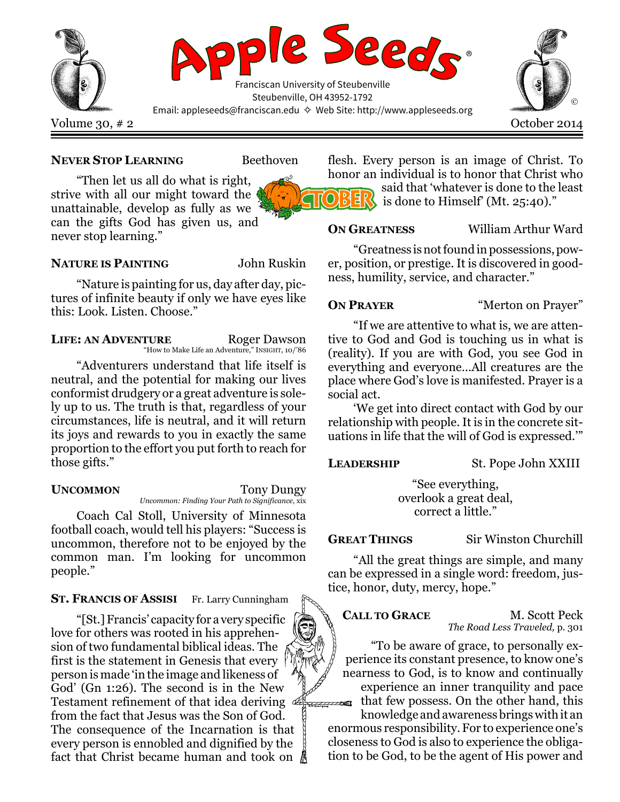

### NEVER STOP LEARNING Beethoven

"Then let us all do what is right, strive with all our might toward the unattainable, develop as fully as we can the gifts God has given us, and never stop learning."

### NATURE IS PAINTING John Ruskin

"Nature is painting for us, day after day, pictures of infinite beauty if only we have eyes like this: Look. Listen. Choose."

LIFE: AN ADVENTURE Roger Dawson "How to Make Life an Adventure," INSIGHT, 10/'86

"Adventurers understand that life itself is neutral, and the potential for making our lives conformist drudgery or a great adventure is solely up to us. The truth is that, regardless of your circumstances, life is neutral, and it will return its joys and rewards to you in exactly the same proportion to the effort you put forth to reach for those gifts."

UNCOMMON Tony Dungy Uncommon: Finding Your Path to Significance, xix

Coach Cal Stoll, University of Minnesota football coach, would tell his players: "Success is uncommon, therefore not to be enjoyed by the common man. I'm looking for uncommon people."

## ST. FRANCIS OF ASSISI Fr. Larry Cunningham

"[St.] Francis' capacity for a very specific love for others was rooted in his apprehension of two fundamental biblical ideas. The first is the statement in Genesis that every person is made 'in the image and likeness of God' (Gn 1:26). The second is in the New Testament refinement of that idea deriving  $\infty$ from the fact that Jesus was the Son of God. The consequence of the Incarnation is that every person is ennobled and dignified by the fact that Christ became human and took on

flesh. Every person is an image of Christ. To honor an individual is to honor that Christ who

said that 'whatever is done to the least is done to Himself' (Mt. 25:40)."

ON GREATNESS William Arthur Ward

"Greatness is not found in possessions, power, position, or prestige. It is discovered in goodness, humility, service, and character."

**ON PRAYER** "Merton on Prayer"

"If we are attentive to what is, we are attentive to God and God is touching us in what is (reality). If you are with God, you see God in everything and everyone…All creatures are the place where God's love is manifested. Prayer is a social act.

'We get into direct contact with God by our relationship with people. It is in the concrete situations in life that the will of God is expressed.'"

LEADERSHIP St. Pope John XXIII

"See everything, overlook a great deal, correct a little."

GREAT THINGS Sir Winston Churchill

"All the great things are simple, and many can be expressed in a single word: freedom, justice, honor, duty, mercy, hope."

Ͼ

CALL TO GRACE M. Scott Peck The Road Less Traveled, p. 301

"To be aware of grace, to personally experience its constant presence, to know one's nearness to God, is to know and continually

experience an inner tranquility and pace that few possess. On the other hand, this

knowledge and awareness brings with it an enormous responsibility. For to experience one's closeness to God is also to experience the obligation to be God, to be the agent of His power and